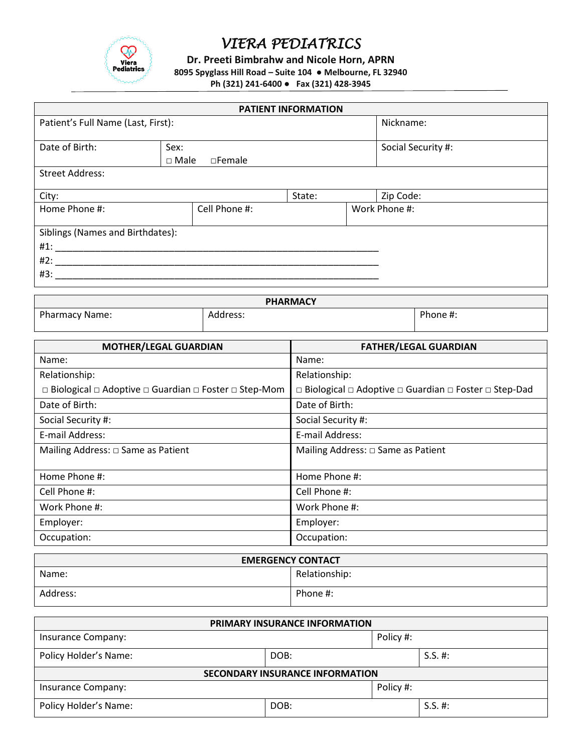

**Dr. Preeti Bimbrahw and Nicole Horn, APRN**

**8095 Spyglass Hill Road – Suite 104 ● Melbourne, FL 32940**

**Ph (321) 241-6400 ● Fax (321) 428-3945**

| <b>PATIENT INFORMATION</b>         |             |                  |        |  |                    |
|------------------------------------|-------------|------------------|--------|--|--------------------|
| Patient's Full Name (Last, First): |             |                  |        |  | Nickname:          |
|                                    |             |                  |        |  |                    |
| Date of Birth:                     | Sex:        |                  |        |  | Social Security #: |
|                                    | $\Box$ Male | $\square$ Female |        |  |                    |
| <b>Street Address:</b>             |             |                  |        |  |                    |
|                                    |             |                  |        |  |                    |
| City:                              |             |                  | State: |  | Zip Code:          |
| Home Phone #:                      |             | Cell Phone #:    |        |  | Work Phone #:      |
|                                    |             |                  |        |  |                    |
| Siblings (Names and Birthdates):   |             |                  |        |  |                    |
| #1:                                |             |                  |        |  |                    |
| #2:                                |             |                  |        |  |                    |
| #3:                                |             |                  |        |  |                    |
|                                    |             |                  |        |  |                    |

| <b>PHARMACY</b>       |          |          |  |
|-----------------------|----------|----------|--|
| <b>Pharmacy Name:</b> | Address: | Phone #. |  |

| <b>MOTHER/LEGAL GUARDIAN</b>                                                    | <b>FATHER/LEGAL GUARDIAN</b>                                                    |
|---------------------------------------------------------------------------------|---------------------------------------------------------------------------------|
| Name:                                                                           | Name:                                                                           |
| Relationship:                                                                   | Relationship:                                                                   |
| $\Box$ Biological $\Box$ Adoptive $\Box$ Guardian $\Box$ Foster $\Box$ Step-Mom | $\Box$ Biological $\Box$ Adoptive $\Box$ Guardian $\Box$ Foster $\Box$ Step-Dad |
| Date of Birth:                                                                  | Date of Birth:                                                                  |
| Social Security #:                                                              | Social Security #:                                                              |
| E-mail Address:                                                                 | E-mail Address:                                                                 |
| Mailing Address: $\Box$ Same as Patient                                         | Mailing Address: □ Same as Patient                                              |
|                                                                                 |                                                                                 |
| Home Phone #:                                                                   | Home Phone #:                                                                   |
| Cell Phone #:                                                                   | Cell Phone #:                                                                   |
| Work Phone #:                                                                   | Work Phone #:                                                                   |
| Employer:                                                                       | Employer:                                                                       |
| Occupation:                                                                     | Occupation:                                                                     |

| <b>EMERGENCY CONTACT</b> |               |  |
|--------------------------|---------------|--|
| Name:                    | Relationship: |  |
| Address:                 | Phone #:      |  |

| PRIMARY INSURANCE INFORMATION          |      |           |            |  |
|----------------------------------------|------|-----------|------------|--|
| Insurance Company:                     |      | Policy #: |            |  |
| Policy Holder's Name:                  | DOB: |           | $S.S. \#:$ |  |
| <b>SECONDARY INSURANCE INFORMATION</b> |      |           |            |  |
| Insurance Company:                     |      | Policy #: |            |  |
| Policy Holder's Name:                  | DOB: |           | $S.S. \#:$ |  |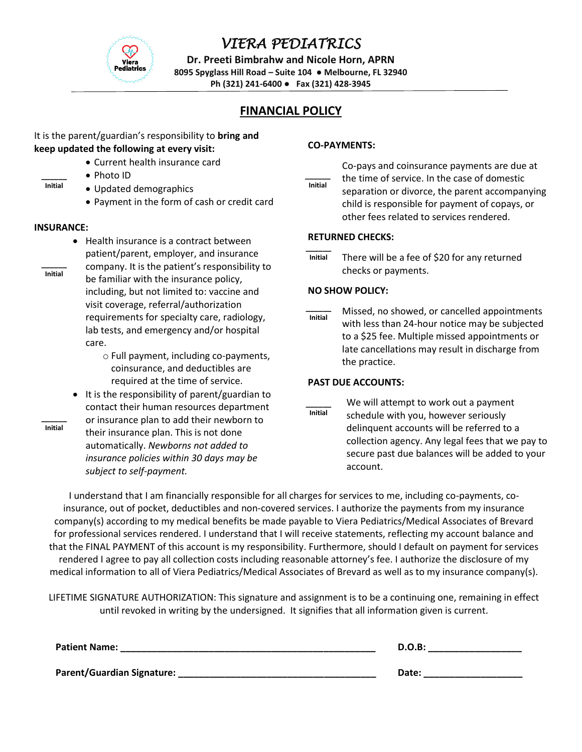

**Dr. Preeti Bimbrahw and Nicole Horn, APRN**

**8095 Spyglass Hill Road – Suite 104 ● Melbourne, FL 32940**

**Ph (321) 241-6400 ● Fax (321) 428-3945**

### **FINANCIAL POLICY**

#### It is the parent/guardian's responsibility to **bring and keep updated the following at every visit:**

- Current health insurance card
- Photo ID
- Updated demographics
	- Payment in the form of cash or credit card

#### **INSURANCE:**

**\_\_\_\_\_\_ Initial**

- Health insurance is a contract between patient/parent, employer, and insurance
- company. It is the patient's responsibility to be familiar with the insurance policy, including, but not limited to: vaccine and visit coverage, referral/authorization requirements for specialty care, radiology, lab tests, and emergency and/or hospital care. **\_\_\_\_\_\_ Initial**
	- o Full payment, including co-payments, coinsurance, and deductibles are required at the time of service.
	- It is the responsibility of parent/guardian to contact their human resources department or insurance plan to add their newborn to
- **\_\_\_\_\_\_ Initial**
- their insurance plan. This is not done automatically. *Newborns not added to insurance policies within 30 days may be subject to self-payment.*

### **CO-PAYMENTS:**

Co-pays and coinsurance payments are due at the time of service. In the case of domestic separation or divorce, the parent accompanying child is responsible for payment of copays, or other fees related to services rendered. **\_\_\_\_\_\_ Initial**

#### **RETURNED CHECKS:**

There will be a fee of \$20 for any returned checks or payments. **\_\_\_\_\_\_ Initial**

#### **NO SHOW POLICY:**

Missed, no showed, or cancelled appointments with less than 24-hour notice may be subjected to a \$25 fee. Multiple missed appointments or late cancellations may result in discharge from the practice. **\_\_\_\_\_\_ Initial**

### **PAST DUE ACCOUNTS:**

We will attempt to work out a payment schedule with you, however seriously delinquent accounts will be referred to a collection agency. Any legal fees that we pay to secure past due balances will be added to your account. **\_\_\_\_\_\_ Initial**

**\_\_\_\_\_\_** that the FINAL PAYMENT of this account is my responsibility. Furthermore, should I default on payment for services I understand that I am financially responsible for all charges for services to me, including co-payments, coinsurance, out of pocket, deductibles and non-covered services. I authorize the payments from my insurance company(s) according to my medical benefits be made payable to Viera Pediatrics/Medical Associates of Brevard for professional services rendered. I understand that I will receive statements, reflecting my account balance and rendered I agree to pay all collection costs including reasonable attorney's fee. I authorize the disclosure of my medical information to all of Viera Pediatrics/Medical Associates of Brevard as well as to my insurance company(s).

LIFETIME SIGNATURE AUTHORIZATION: This signature and assignment is to be a continuing one, remaining in effect until revoked in writing by the undersigned. It signifies that all information given is current.

| <b>Patient Name:</b>       | D.O.B: |
|----------------------------|--------|
| Parent/Guardian Signature: | Date:  |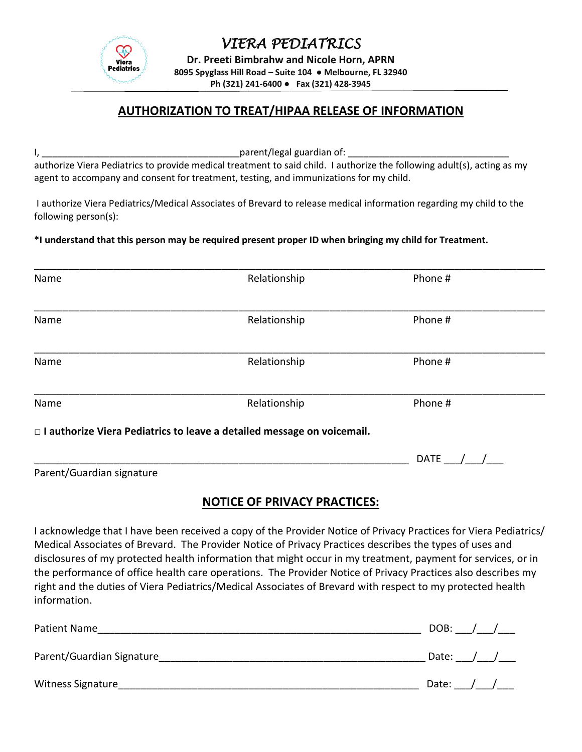

**Dr. Preeti Bimbrahw and Nicole Horn, APRN 8095 Spyglass Hill Road – Suite 104 ● Melbourne, FL 32940 Ph (321) 241-6400 ● Fax (321) 428-3945**

## **AUTHORIZATION TO TREAT/HIPAA RELEASE OF INFORMATION**

I, the contract of the contract of the parent/legal guardian of:  $\Box$ 

authorize Viera Pediatrics to provide medical treatment to said child. I authorize the following adult(s), acting as my agent to accompany and consent for treatment, testing, and immunizations for my child.

I authorize Viera Pediatrics/Medical Associates of Brevard to release medical information regarding my child to the following person(s):

### **\*I understand that this person may be required present proper ID when bringing my child for Treatment.**

| Name                      | Relationship                                                             | Phone #     |  |
|---------------------------|--------------------------------------------------------------------------|-------------|--|
| Name                      | Relationship                                                             | Phone #     |  |
| Name                      | Relationship                                                             | Phone #     |  |
| Name                      | Relationship                                                             | Phone #     |  |
|                           | □ I authorize Viera Pediatrics to leave a detailed message on voicemail. |             |  |
|                           |                                                                          | <b>DATE</b> |  |
| Parent/Guardian signature |                                                                          |             |  |

## **NOTICE OF PRIVACY PRACTICES:**

I acknowledge that I have been received a copy of the Provider Notice of Privacy Practices for Viera Pediatrics/ Medical Associates of Brevard. The Provider Notice of Privacy Practices describes the types of uses and disclosures of my protected health information that might occur in my treatment, payment for services, or in the performance of office health care operations. The Provider Notice of Privacy Practices also describes my right and the duties of Viera Pediatrics/Medical Associates of Brevard with respect to my protected health information.

| Patient Name              | DOB:  |  |  |
|---------------------------|-------|--|--|
| Parent/Guardian Signature | Date: |  |  |
| <b>Witness Signature</b>  | Date: |  |  |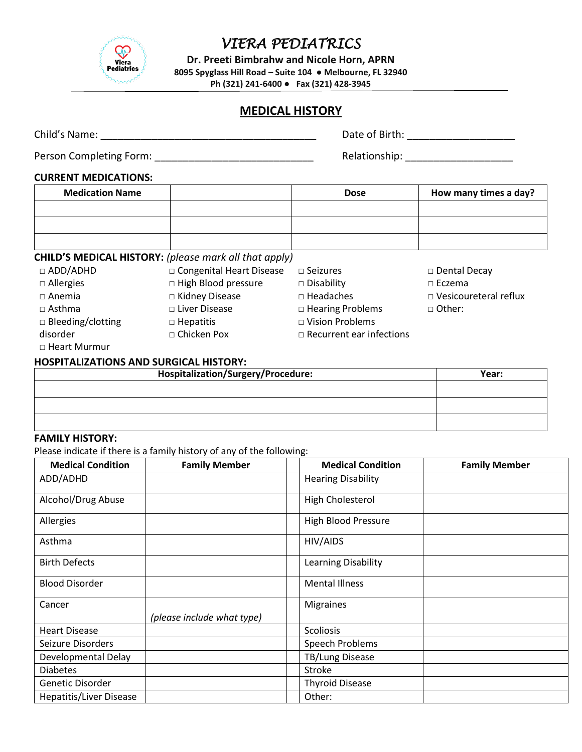

**Dr. Preeti Bimbrahw and Nicole Horn, APRN**

**8095 Spyglass Hill Road – Suite 104 ● Melbourne, FL 32940**

**Ph (321) 241-6400 ● Fax (321) 428-3945**

## **MEDICAL HISTORY**

| Child's Name:           | Date of Birth: |
|-------------------------|----------------|
| Person Completing Form: | Relationship:  |

### **CURRENT MEDICATIONS:**

| <b>Medication Name</b> | <b>Dose</b> | How many times a day? |
|------------------------|-------------|-----------------------|
|                        |             |                       |
|                        |             |                       |
|                        |             |                       |

## **CHILD'S MEDICAL HISTORY:** *(please mark all that apply)*

| $\Box$ ADD/ADHD          | □ Congenital Heart Disease | $\Box$ Seizures                 |
|--------------------------|----------------------------|---------------------------------|
| $\Box$ Allergies         | $\Box$ High Blood pressure | $\square$ Disability            |
| $\Box$ Anemia            | □ Kidney Disease           | $\Box$ Headaches                |
| $\Box$ Asthma            | □ Liver Disease            | $\Box$ Hearing Problems         |
| $\Box$ Bleeding/clotting | $\Box$ Hepatitis           | □ Vision Problems               |
| disorder                 | □ Chicken Pox              | $\Box$ Recurrent ear infections |
| .                        |                            |                                 |

| □ Dental Decay |  |
|----------------|--|
|----------------|--|

□ Eczema

- □ Vesicoureteral reflux
- □ Other:

□ Heart Murmur

#### **HOSPITALIZATIONS AND SURGICAL HISTORY:**

| Hospitalization/Surgery/Procedure: | Year: |
|------------------------------------|-------|
|                                    |       |
|                                    |       |
|                                    |       |
|                                    |       |

## **FAMILY HISTORY:**

Please indicate if there is a family history of any of the following:

| <b>Medical Condition</b> | <b>Family Member</b>       | <b>Medical Condition</b>   | <b>Family Member</b> |
|--------------------------|----------------------------|----------------------------|----------------------|
| ADD/ADHD                 |                            | <b>Hearing Disability</b>  |                      |
| Alcohol/Drug Abuse       |                            | <b>High Cholesterol</b>    |                      |
| Allergies                |                            | <b>High Blood Pressure</b> |                      |
| Asthma                   |                            | HIV/AIDS                   |                      |
| <b>Birth Defects</b>     |                            | <b>Learning Disability</b> |                      |
| <b>Blood Disorder</b>    |                            | <b>Mental Illness</b>      |                      |
| Cancer                   | (please include what type) | Migraines                  |                      |
| <b>Heart Disease</b>     |                            | <b>Scoliosis</b>           |                      |
| Seizure Disorders        |                            | Speech Problems            |                      |
| Developmental Delay      |                            | TB/Lung Disease            |                      |
| <b>Diabetes</b>          |                            | Stroke                     |                      |
| Genetic Disorder         |                            | <b>Thyroid Disease</b>     |                      |
| Hepatitis/Liver Disease  |                            | Other:                     |                      |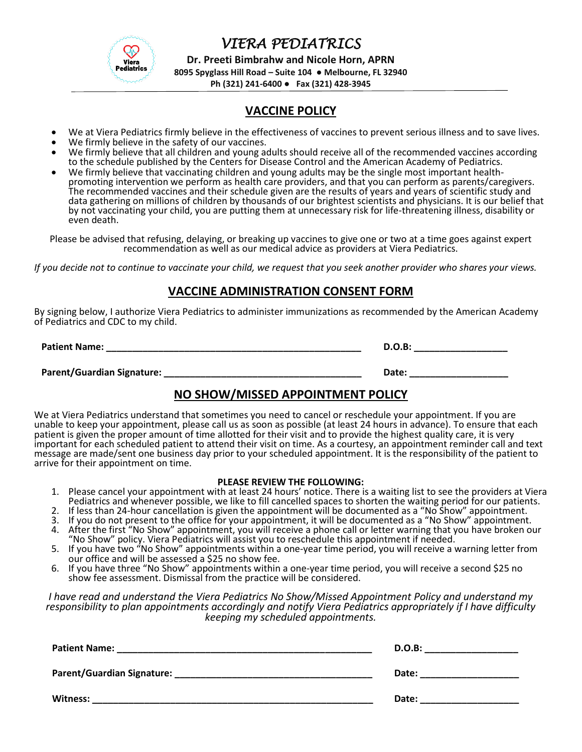

**Dr. Preeti Bimbrahw and Nicole Horn, APRN**

**8095 Spyglass Hill Road – Suite 104 ● Melbourne, FL 32940**

**Ph (321) 241-6400 ● Fax (321) 428-3945**

## **VACCINE POLICY**

- We at Viera Pediatrics firmly believe in the effectiveness of vaccines to prevent serious illness and to save lives.
- We firmly believe in the safety of our vaccines.
- We firmly believe that all children and young adults should receive all of the recommended vaccines according to the schedule published by the Centers for Disease Control and the American Academy of Pediatrics.
- We firmly believe that vaccinating children and young adults may be the single most important healthpromoting intervention we perform as health care providers, and that you can perform as parents/caregivers. The recommended vaccines and their schedule given are the results of years and years of scientific study and data gathering on millions of children by thousands of our brightest scientists and physicians. It is our belief that by not vaccinating your child, you are putting them at unnecessary risk for life-threatening illness, disability or even death.

Please be advised that refusing, delaying, or breaking up vaccines to give one or two at a time goes against expert recommendation as well as our medical advice as providers at Viera Pediatrics.

*If you decide not to continue to vaccinate your child, we request that you seek another provider who shares your views.*

### **VACCINE ADMINISTRATION CONSENT FORM**

By signing below, I authorize Viera Pediatrics to administer immunizations as recommended by the American Academy of Pediatrics and CDC to my child.

**Patient Name: D.O.B: D.O.B: D.O.B: D.O.B: D.O.B: D.O.B: D.O.B: D.O.B: D.O.B: D.O.B: D.O.B: D.O.B: D.O.B: D.O.B: D.O.B: D.O.B: D.O.B: D.O.B: D.O.B: D.O.B: D.O.B: D.O.B: D.O.B:** 

Parent/Guardian Signature: **with a set of the set of the set of the set of the set of the set of the set of the set of the set of the set of the set of the set of the set of the set of the set of the set of the set of the** 

# **NO SHOW/MISSED APPOINTMENT POLICY**

We at Viera Pediatrics understand that sometimes you need to cancel or reschedule your appointment. If you are unable to keep your appointment, please call us as soon as possible (at least 24 hours in advance). To ensure that each patient is given the proper amount of time allotted for their visit and to provide the highest quality care, it is very important for each scheduled patient to attend their visit on time. As a courtesy, an appointment reminder call and text message are made/sent one business day prior to your scheduled appointment. It is the responsibility of the patient to arrive for their appointment on time.

#### **PLEASE REVIEW THE FOLLOWING:**

- 1. Please cancel your appointment with at least 24 hours' notice. There is a waiting list to see the providers at Viera Pediatrics and whenever possible, we like to fill cancelled spaces to shorten the waiting period for our patients.
- 2. If less than 24-hour cancellation is given the appointment will be documented as a "No Show" appointment.
- 3. If you do not present to the office for your appointment, it will be documented as a "No Show" appointment.
- 4. After the first "No Show" appointment, you will receive a phone call or letter warning that you have broken our "No Show" policy. Viera Pediatrics will assist you to reschedule this appointment if needed.
- 5. If you have two "No Show" appointments within a one-year time period, you will receive a warning letter from our office and will be assessed a \$25 no show fee.
- 6. If you have three "No Show" appointments within a one-year time period, you will receive a second \$25 no show fee assessment. Dismissal from the practice will be considered.

*I have read and understand the Viera Pediatrics No Show/Missed Appointment Policy and understand my responsibility to plan appointments accordingly and notify Viera Pediatrics appropriately if I have difficulty keeping my scheduled appointments.*

| <b>Patient Name:</b>                                                                                                 | D.O.B: |
|----------------------------------------------------------------------------------------------------------------------|--------|
| <u> 1989 - Jan James James James James James James James James James James James James James James James James J</u> |        |
| Parent/Guardian Signature: _                                                                                         | Date:  |
| Witness:                                                                                                             | Date:  |
|                                                                                                                      |        |